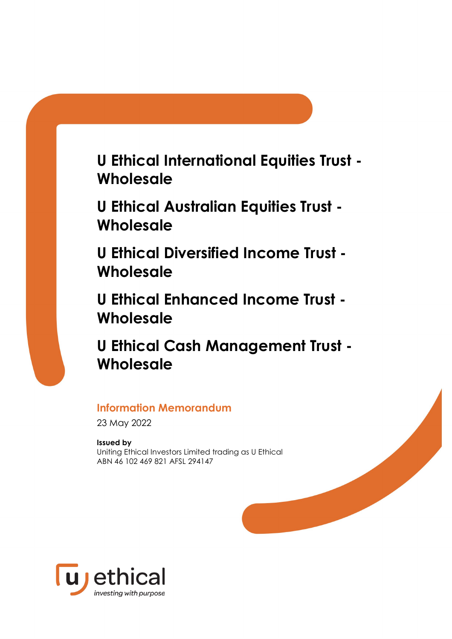**U Ethical International Equities Trust - Wholesale**

**U Ethical Australian Equities Trust - Wholesale**

**U Ethical Diversified Income Trust - Wholesale**

**U Ethical Enhanced Income Trust - Wholesale**

**U Ethical Cash Management Trust - Wholesale**

# **Information Memorandum**

23 May 2022

# **Issued by**

Uniting Ethical Investors Limited trading as U Ethical ABN 46 102 469 821 AFSL 294147

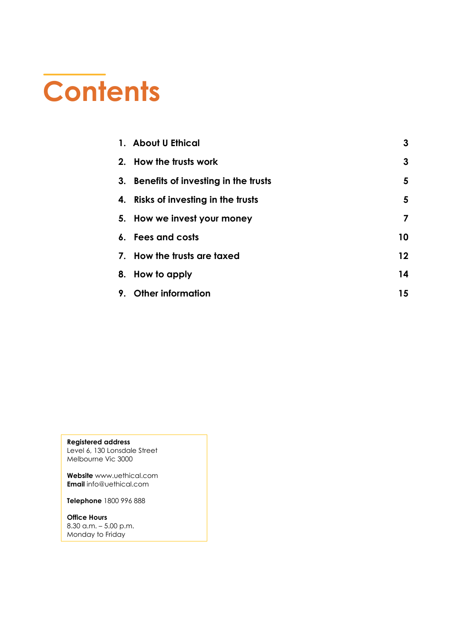# **Contents**

|    | 1. About U Ethical                     | 3  |
|----|----------------------------------------|----|
|    | 2. How the trusts work                 | 3  |
|    | 3. Benefits of investing in the trusts | 5  |
|    | 4. Risks of investing in the trusts    | 5  |
|    | 5. How we invest your money            | 7  |
|    | 6. Fees and costs                      | 10 |
|    | 7. How the trusts are taxed            | 12 |
|    | 8. How to apply                        | 14 |
| 9. | <b>Other information</b>               | 15 |

**Registered address** Level 6, 130 Lonsdale Street Melbourne Vic 3000

**Website** [www.uethical.com](http://www.uethical.com/) **Email** [info@uethical.com](mailto:info@uethical.com)

**Telephone** 1800 996 888

**Office Hours** 8.30 a.m. – 5.00 p.m. Monday to Friday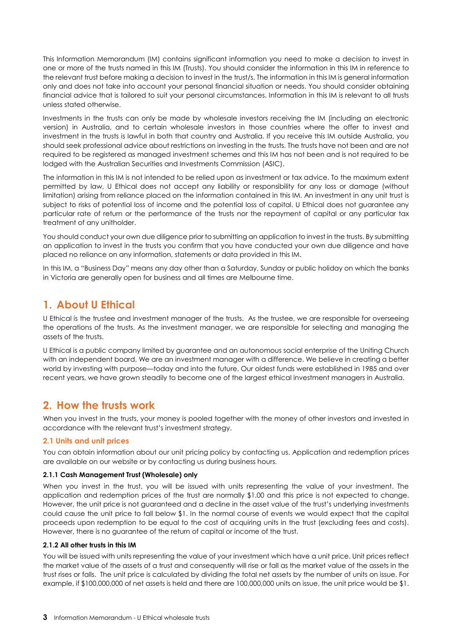This Information Memorandum (IM) contains significant information you need to make a decision to invest in one or more of the trusts named in this IM (Trusts). You should consider the information in this IM in reference to the relevant trust before making a decision to invest in the trust/s. The information in this IM is general information only and does not take into account your personal financial situation or needs. You should consider obtaining financial advice that is tailored to suit your personal circumstances. Information in this IM is relevant to all trusts unless stated otherwise.

Investments in the trusts can only be made by wholesale investors receiving the IM (including an electronic version) in Australia, and to certain wholesale investors in those countries where the offer to invest and investment in the trusts is lawful in both that country and Australia. If you receive this IM outside Australia, you should seek professional advice about restrictions on investing in the trusts. The trusts have not been and are not required to be registered as managed investment schemes and this IM has not been and is not required to be lodged with the Australian Securities and Investments Commission (ASIC).

The information in this IM is not intended to be relied upon as investment or tax advice. To the maximum extent permitted by law, U Ethical does not accept any liability or responsibility for any loss or damage (without limitation) arising from reliance placed on the information contained in this IM. An investment in any unit trust is subject to risks of potential loss of income and the potential loss of capital. U Ethical does not guarantee any particular rate of return or the performance of the trusts nor the repayment of capital or any particular tax treatment of any unitholder.

You should conduct your own due diligence prior to submitting an application to invest in the trusts. By submitting an application to invest in the trusts you confirm that you have conducted your own due diligence and have placed no reliance on any information, statements or data provided in this IM.

In this IM, a "Business Day" means any day other than a Saturday, Sunday or public holiday on which the banks in Victoria are generally open for business and all times are Melbourne time.

# <span id="page-2-0"></span>**1. About U Ethical**

U Ethical is the trustee and investment manager of the trusts. As the trustee, we are responsible for overseeing the operations of the trusts. As the investment manager, we are responsible for selecting and managing the assets of the trusts.

U Ethical is a public company limited by guarantee and an autonomous social enterprise of the Uniting Church with an independent board. We are an investment manager with a difference. We believe in creating a better world by investing with purpose—today and into the future. Our oldest funds were established in 1985 and over recent years, we have grown steadily to become one of the largest ethical investment managers in Australia.

# <span id="page-2-1"></span>**2. How the trusts work**

When you invest in the trusts, your money is pooled together with the money of other investors and invested in accordance with the relevant trust's investment strategy.

# **2.1 Units and unit prices**

You can obtain information about our unit pricing policy by contacting us. Application and redemption prices are available on our website or by contacting us during business hours.

# **2.1.1 Cash Management Trust (Wholesale) only**

When you invest in the trust, you will be issued with units representing the value of your investment. The application and redemption prices of the trust are normally \$1.00 and this price is not expected to change. However, the unit price is not guaranteed and a decline in the asset value of the trust's underlying investments could cause the unit price to fall below \$1. In the normal course of events we would expect that the capital proceeds upon redemption to be equal to the cost of acquiring units in the trust (excluding fees and costs). However, there is no guarantee of the return of capital or income of the trust.

#### **2.1.2 All other trusts in this IM**

You will be issued with units representing the value of your investment which have a unit price. Unit prices reflect the market value of the assets of a trust and consequently will rise or fall as the market value of the assets in the trust rises or falls. The unit price is calculated by dividing the total net assets by the number of units on issue. For example, if \$100,000,000 of net assets is held and there are 100,000,000 units on issue, the unit price would be \$1.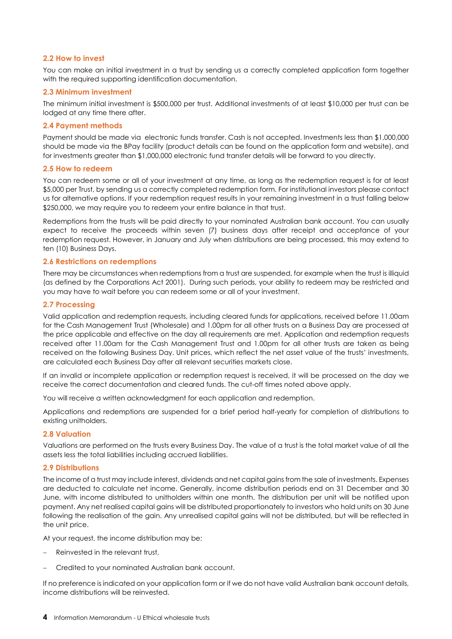## **2.2 How to invest**

You can make an initial investment in a trust by sending us a correctly completed application form together with the required supporting identification documentation.

### **2.3 Minimum investment**

The minimum initial investment is \$500,000 per trust. Additional investments of at least \$10,000 per trust can be lodged at any time there after.

## **2.4 Payment methods**

Payment should be made via electronic funds transfer. Cash is not accepted. Investments less than \$1,000,000 should be made via the BPay facility (product details can be found on the application form and website), and for investments greater than \$1,000,000 electronic fund transfer details will be forward to you directly.

#### **2.5 How to redeem**

You can redeem some or all of your investment at any time, as long as the redemption request is for at least \$5,000 per Trust, by sending us a correctly completed redemption form. For institutional investors please contact us for alternative options. If your redemption request results in your remaining investment in a trust falling below \$250,000, we may require you to redeem your entire balance in that trust.

Redemptions from the trusts will be paid directly to your nominated Australian bank account. You can usually expect to receive the proceeds within seven (7) business days after receipt and acceptance of your redemption request. However, in January and July when distributions are being processed, this may extend to ten (10) Business Days.

### **2.6 Restrictions on redemptions**

There may be circumstances when redemptions from a trust are suspended, for example when the trust is illiquid (as defined by the Corporations Act 2001). During such periods, your ability to redeem may be restricted and you may have to wait before you can redeem some or all of your investment.

### **2.7 Processing**

Valid application and redemption requests, including cleared funds for applications, received before 11.00am for the Cash Management Trust (Wholesale) and 1.00pm for all other trusts on a Business Day are processed at the price applicable and effective on the day all requirements are met. Application and redemption requests received after 11.00am for the Cash Management Trust and 1.00pm for all other trusts are taken as being received on the following Business Day. Unit prices, which reflect the net asset value of the trusts' investments, are calculated each Business Day after all relevant securities markets close.

If an invalid or incomplete application or redemption request is received, it will be processed on the day we receive the correct documentation and cleared funds. The cut-off times noted above apply.

You will receive a written acknowledgment for each application and redemption.

Applications and redemptions are suspended for a brief period half-yearly for completion of distributions to existing unitholders.

#### **2.8 Valuation**

Valuations are performed on the trusts every Business Day. The value of a trust is the total market value of all the assets less the total liabilities including accrued liabilities.

# **2.9 Distributions**

The income of a trust may include interest, dividends and net capital gains from the sale of investments. Expenses are deducted to calculate net income. Generally, income distribution periods end on 31 December and 30 June, with income distributed to unitholders within one month. The distribution per unit will be notified upon payment. Any net realised capital gains will be distributed proportionately to investors who hold units on 30 June following the realisation of the gain. Any unrealised capital gains will not be distributed, but will be reflected in the unit price.

At your request, the income distribution may be:

- Reinvested in the relevant trust,
- − Credited to your nominated Australian bank account.

If no preference is indicated on your application form or if we do not have valid Australian bank account details, income distributions will be reinvested.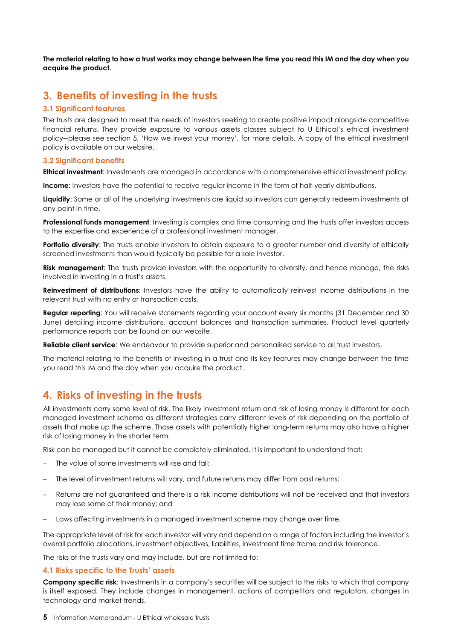**The material relating to how a trust works may change between the time you read this IM and the day when you acquire the product.**

# <span id="page-4-0"></span>**3. Benefits of investing in the trusts**

## **3.1 Significant features**

The trusts are designed to meet the needs of investors seeking to create positive impact alongside competitive financial returns. They provide exposure to various assets classes subject to U Ethical's ethical investment policy―please see section 5, 'How we invest your money', for more details. A copy of the ethical investment policy is available on our website.

#### **3.2 Significant benefits**

**Ethical investment**: Investments are managed in accordance with a comprehensive ethical investment policy.

**Income**: Investors have the potential to receive regular income in the form of half-yearly distributions.

**Liquidity**: Some or all of the underlying investments are liquid so investors can generally redeem investments at any point in time.

**Professional funds management**: Investing is complex and time consuming and the trusts offer investors access to the expertise and experience of a professional investment manager.

**Portfolio diversity**: The trusts enable investors to obtain exposure to a greater number and diversity of ethically screened investments than would typically be possible for a sole investor.

**Risk management**: The trusts provide investors with the opportunity to diversify, and hence manage, the risks involved in investing in a trust's assets.

**Reinvestment of distributions**: Investors have the ability to automatically reinvest income distributions in the relevant trust with no entry or transaction costs.

**Regular reporting**: You will receive statements regarding your account every six months (31 December and 30 June) detailing income distributions, account balances and transaction summaries. Product level quarterly performance reports can be found on our website.

**Reliable client service**: We endeavour to provide superior and personalised service to all trust investors.

The material relating to the benefits of investing in a trust and its key features may change between the time you read this IM and the day when you acquire the product.

# <span id="page-4-1"></span>**4. Risks of investing in the trusts**

All investments carry some level of risk. The likely investment return and risk of losing money is different for each managed investment scheme as different strategies carry different levels of risk depending on the portfolio of assets that make up the scheme. Those assets with potentially higher long-term returns may also have a higher risk of losing money in the shorter term.

Risk can be managed but it cannot be completely eliminated. It is important to understand that:

- − The value of some investments will rise and fall;
- The level of investment returns will vary, and future returns may differ from past returns;
- Returns are not guaranteed and there is a risk income distributions will not be received and that investors may lose some of their money; and
- Laws affecting investments in a managed investment scheme may change over time.

The appropriate level of risk for each investor will vary and depend on a range of factors including the investor's overall portfolio allocations, investment objectives, liabilities, investment time frame and risk tolerance.

The risks of the trusts vary and may include, but are not limited to:

#### **4.1 Risks specific to the Trusts' assets**

**Company specific risk**: Investments in a company's securities will be subject to the risks to which that company is itself exposed. They include changes in management, actions of competitors and regulators, changes in technology and market trends.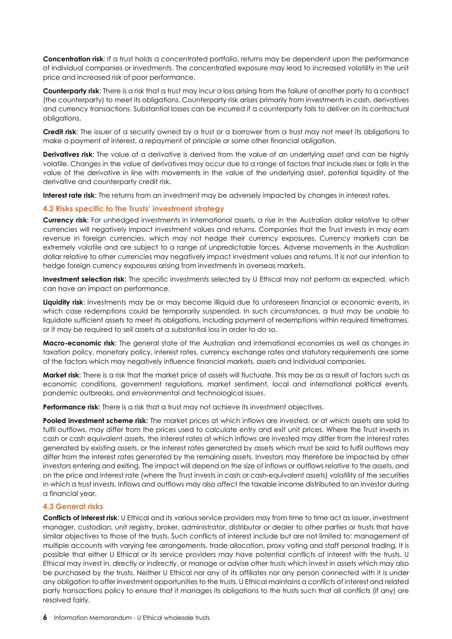**Concentration risk**: If a trust holds a concentrated portfolio, returns may be dependent upon the performance of individual companies or investments. The concentrated exposure may lead to increased volatility in the unit price and increased risk of poor performance.

**Counterparty risk**: There is a risk that a trust may incur a loss arising from the failure of another party to a contract (the counterparty) to meet its obligations. Counterparty risk arises primarily from investments in cash, derivatives and currency transactions. Substantial losses can be incurred if a counterparty fails to deliver on its contractual obligations.

**Credit risk**: The issuer of a security owned by a trust or a borrower from a trust may not meet its obligations to make a payment of interest, a repayment of principle or some other financial obligation.

**Derivatives risk**: The value of a derivative is derived from the value of an underlying asset and can be highly volatile. Changes in the value of derivatives may occur due to a range of factors that include rises or falls in the value of the derivative in line with movements in the value of the underlying asset, potential liquidity of the derivative and counterparty credit risk.

**Interest rate risk**: The returns from an investment may be adversely impacted by changes in interest rates.

# **4.2 Risks specific to the Trusts' investment strategy**

**Currency risk**: For unhedged investments in international assets, a rise in the Australian dollar relative to other currencies will negatively impact investment values and returns. Companies that the Trust invests in may earn revenue in foreign currencies, which may not hedge their currency exposures. Currency markets can be extremely volatile and are subject to a range of unpredictable forces. Adverse movements in the Australian dollar relative to other currencies may negatively impact investment values and returns. It is not our intention to hedge foreign currency exposures arising from investments in overseas markets.

**Investment selection risk**: The specific investments selected by U Ethical may not perform as expected, which can have an impact on performance.

Liquidity risk: Investments may be or may become illiquid due to unforeseen financial or economic events, in which case redemptions could be temporarily suspended. In such circumstances, a trust may be unable to liquidate sufficient assets to meet its obligations, including payment of redemptions within required timeframes, or it may be required to sell assets at a substantial loss in order to do so.

**Macro-economic risk**: The general state of the Australian and international economies as well as changes in taxation policy, monetary policy, interest rates, currency exchange rates and statutory requirements are some of the factors which may negatively influence financial markets, assets and individual companies.

**Market risk**: There is a risk that the market price of assets will fluctuate. This may be as a result of factors such as economic conditions, government regulations, market sentiment, local and international political events, pandemic outbreaks, and environmental and technological issues.

**Performance risk:** There is a risk that a trust may not achieve its investment objectives.

**Pooled investment scheme risk**: The market prices at which inflows are invested, or at which assets are sold to fulfil outflows, may differ from the prices used to calculate entry and exit unit prices. Where the Trust invests in cash or cash equivalent assets, the interest rates at which inflows are invested may differ from the interest rates generated by existing assets, or the interest rates generated by assets which must be sold to fulfil outflows may differ from the interest rates generated by the remaining assets. Investors may therefore be impacted by other investors entering and exiting. The impact will depend on the size of inflows or outflows relative to the assets, and on the price and interest rate (where the Trust invests in cash or cash-equivalent assets) volatility of the securities in which a trust invests. Inflows and outflows may also affect the taxable income distributed to an investor during a financial year.

# **4.3 General risks**

**Conflicts of interest risk**: U Ethical and its various service providers may from time to time act as issuer, investment manager, custodian, unit registry, broker, administrator, distributor or dealer to other parties or trusts that have similar objectives to those of the trusts. Such conflicts of interest include but are not limited to: management of multiple accounts with varying fee arrangements, trade allocation, proxy voting and staff personal trading. It is possible that either U Ethical or its service providers may have potential conflicts of interest with the trusts. U Ethical may invest in, directly or indirectly, or manage or advise other trusts which invest in assets which may also be purchased by the trusts. Neither U Ethical nor any of its affiliates nor any person connected with it is under any obligation to offer investment opportunities to the trusts. U Ethical maintains a conflicts of interest and related party transactions policy to ensure that it manages its obligations to the trusts such that all conflicts (if any) are resolved fairly.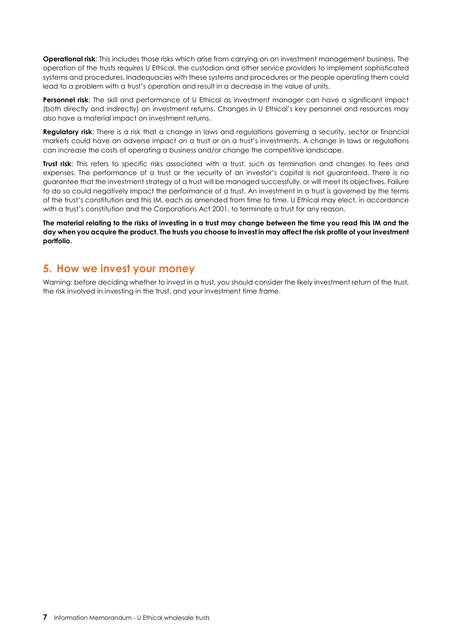**Operational risk**: This includes those risks which arise from carrying on an investment management business. The operation of the trusts requires U Ethical, the custodian and other service providers to implement sophisticated systems and procedures. Inadequacies with these systems and procedures or the people operating them could lead to a problem with a trust's operation and result in a decrease in the value of units.

**Personnel risk**: The skill and performance of U Ethical as investment manager can have a significant impact (both directly and indirectly) on investment returns. Changes in U Ethical's key personnel and resources may also have a material impact on investment returns.

**Regulatory risk**: There is a risk that a change in laws and regulations governing a security, sector or financial markets could have an adverse impact on a trust or on a trust's investments. A change in laws or regulations can increase the costs of operating a business and/or change the competitive landscape.

**Trust risk**: This refers to specific risks associated with a trust, such as termination and changes to fees and expenses. The performance of a trust or the security of an investor's capital is not guaranteed. There is no guarantee that the investment strategy of a trust will be managed successfully, or will meet its objectives. Failure to do so could negatively impact the performance of a trust. An investment in a trust is governed by the terms of the trust's constitution and this IM, each as amended from time to time. U Ethical may elect, in accordance with a trust's constitution and the Corporations Act 2001, to terminate a trust for any reason.

**The material relating to the risks of investing in a trust may change between the time you read this IM and the day when you acquire the product. The trusts you choose to invest in may affect the risk profile of your investment portfolio.**

# <span id="page-6-0"></span>**5. How we invest your money**

Warning: before deciding whether to invest in a trust, you should consider the likely investment return of the trust, the risk involved in investing in the trust, and your investment time frame.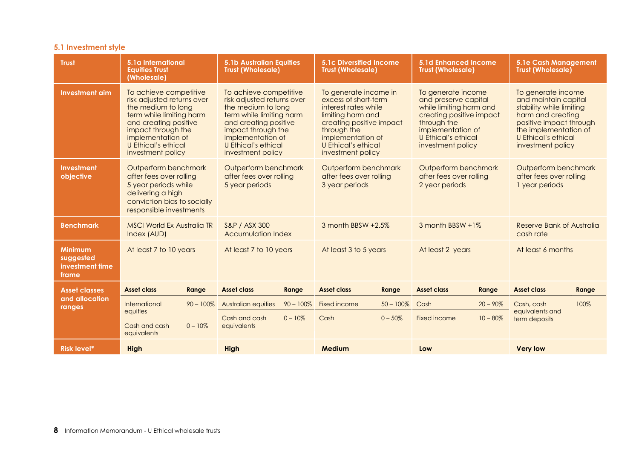# **5.1 Investment style**

| <b>Trust</b>                                            | 5.1a International<br><b>Equities Trust</b><br>(Wholesale)                                                                                                                                                             |              | <b>5.1b Australian Equities</b><br><b>Trust (Wholesale)</b>                                                                                                                                                            |              | <b>5.1c Diversified Income</b><br><b>Trust (Wholesale)</b>                                                                                                                                             |              | <b>5.1d Enhanced Income</b><br><b>Trust (Wholesale)</b>                                                                                                                           |             | 5.1e Cash Management<br><b>Trust (Wholesale)</b>                                                                                                                                            |       |
|---------------------------------------------------------|------------------------------------------------------------------------------------------------------------------------------------------------------------------------------------------------------------------------|--------------|------------------------------------------------------------------------------------------------------------------------------------------------------------------------------------------------------------------------|--------------|--------------------------------------------------------------------------------------------------------------------------------------------------------------------------------------------------------|--------------|-----------------------------------------------------------------------------------------------------------------------------------------------------------------------------------|-------------|---------------------------------------------------------------------------------------------------------------------------------------------------------------------------------------------|-------|
| <b>Investment aim</b>                                   | To achieve competitive<br>risk adjusted returns over<br>the medium to long<br>term while limiting harm<br>and creating positive<br>impact through the<br>implementation of<br>U Ethical's ethical<br>investment policy |              | To achieve competitive<br>risk adjusted returns over<br>the medium to long<br>term while limiting harm<br>and creating positive<br>impact through the<br>implementation of<br>U Ethical's ethical<br>investment policy |              | To generate income in<br>excess of short-term<br>interest rates while<br>limiting harm and<br>creating positive impact<br>through the<br>implementation of<br>U Ethical's ethical<br>investment policy |              | To generate income<br>and preserve capital<br>while limiting harm and<br>creating positive impact<br>through the<br>implementation of<br>U Ethical's ethical<br>investment policy |             | To generate income<br>and maintain capital<br>stability while limiting<br>harm and creating<br>positive impact through<br>the implementation of<br>U Ethical's ethical<br>investment policy |       |
| <b>Investment</b><br>objective                          | Outperform benchmark<br>after fees over rolling<br>5 year periods while<br>delivering a high<br>conviction bias to socially<br>responsible investments                                                                 |              | Outperform benchmark<br>after fees over rolling<br>5 year periods                                                                                                                                                      |              | Outperform benchmark<br>after fees over rolling<br>3 year periods                                                                                                                                      |              | Outperform benchmark<br>after fees over rolling<br>2 year periods                                                                                                                 |             | Outperform benchmark<br>after fees over rolling<br>1 year periods                                                                                                                           |       |
| <b>Benchmark</b>                                        | <b>MSCI World Ex Australia TR</b><br>Index (AUD)                                                                                                                                                                       |              | S&P / ASX 300<br><b>Accumulation Index</b>                                                                                                                                                                             |              | 3 month BBSW +2.5%                                                                                                                                                                                     |              | 3 month BBSW +1%                                                                                                                                                                  |             | Reserve Bank of Australia<br>cash rate                                                                                                                                                      |       |
| <b>Minimum</b><br>suggested<br>investment time<br>frame | At least 7 to 10 years                                                                                                                                                                                                 |              | At least 7 to 10 years                                                                                                                                                                                                 |              | At least 3 to 5 years                                                                                                                                                                                  |              | At least 2 years                                                                                                                                                                  |             | At least 6 months                                                                                                                                                                           |       |
| <b>Asset classes</b>                                    | Asset class                                                                                                                                                                                                            | Range        | <b>Asset class</b>                                                                                                                                                                                                     | Range        | <b>Asset class</b>                                                                                                                                                                                     | Range        | <b>Asset class</b>                                                                                                                                                                | Range       | <b>Asset class</b>                                                                                                                                                                          | Range |
| and allocation<br>ranges                                | International                                                                                                                                                                                                          | $90 - 100\%$ | <b>Australian equities</b>                                                                                                                                                                                             | $90 - 100\%$ | Fixed income                                                                                                                                                                                           | $50 - 100\%$ | Cash                                                                                                                                                                              | $20 - 90\%$ | Cash, cash                                                                                                                                                                                  | 100%  |
|                                                         | equities<br>Cash and cash<br>equivalents                                                                                                                                                                               | $0 - 10\%$   | Cash and cash<br>equivalents                                                                                                                                                                                           | $0 - 10\%$   | Cash                                                                                                                                                                                                   | $0 - 50%$    | Fixed income                                                                                                                                                                      | $10 - 80\%$ | equivalents and<br>term deposits                                                                                                                                                            |       |
| <b>Risk level*</b>                                      | <b>High</b>                                                                                                                                                                                                            |              | High                                                                                                                                                                                                                   |              | <b>Medium</b>                                                                                                                                                                                          |              | Low                                                                                                                                                                               |             | <b>Very low</b>                                                                                                                                                                             |       |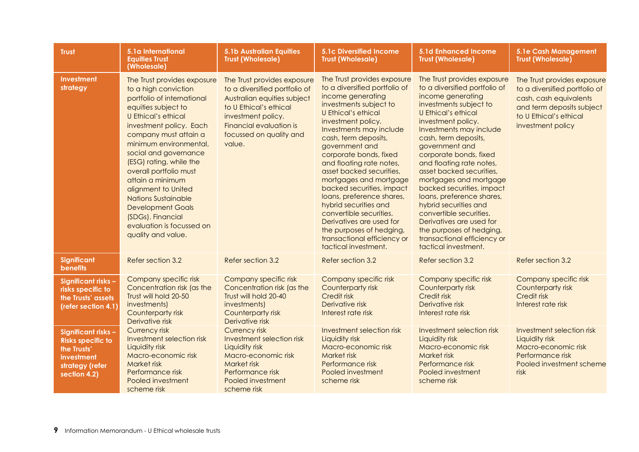| <b>Trust</b>                                                                                                    | 5.1a International<br><b>Equities Trust</b><br>(Wholesale)                                                                                                                                                                                                                                                                                                                                                                                                               | <b>5.1b Australian Equities</b><br><b>Trust (Wholesale)</b>                                                                                                                                                 | <b>5.1c Diversified Income</b><br><b>Trust (Wholesale)</b>                                                                                                                                                                                                                                                                                                                                                                                                                                                                                                             | 5.1d Enhanced Income<br><b>Trust (Wholesale)</b>                                                                                                                                                                                                                                                                                                                                                                                                                                                                                                                              | 5.1e Cash Management<br><b>Trust (Wholesale)</b>                                                                                                                   |
|-----------------------------------------------------------------------------------------------------------------|--------------------------------------------------------------------------------------------------------------------------------------------------------------------------------------------------------------------------------------------------------------------------------------------------------------------------------------------------------------------------------------------------------------------------------------------------------------------------|-------------------------------------------------------------------------------------------------------------------------------------------------------------------------------------------------------------|------------------------------------------------------------------------------------------------------------------------------------------------------------------------------------------------------------------------------------------------------------------------------------------------------------------------------------------------------------------------------------------------------------------------------------------------------------------------------------------------------------------------------------------------------------------------|-------------------------------------------------------------------------------------------------------------------------------------------------------------------------------------------------------------------------------------------------------------------------------------------------------------------------------------------------------------------------------------------------------------------------------------------------------------------------------------------------------------------------------------------------------------------------------|--------------------------------------------------------------------------------------------------------------------------------------------------------------------|
| Investment<br>strategy                                                                                          | The Trust provides exposure<br>to a high conviction<br>portfolio of international<br>equities subject to<br>U Ethical's ethical<br>investment policy. Each<br>company must attain a<br>minimum environmental,<br>social and governance<br>(ESG) rating, while the<br>overall portfolio must<br>attain a minimum<br>alignment to United<br><b>Nations Sustainable</b><br><b>Development Goals</b><br>(SDGs). Financial<br>evaluation is focussed on<br>quality and value. | The Trust provides exposure<br>to a diversified portfolio of<br>Australian equities subject<br>to U Ethical's ethical<br>investment policy.<br>Financial evaluation is<br>focussed on quality and<br>value. | The Trust provides exposure<br>to a diversified portfolio of<br>income generating<br>investments subject to<br>U Ethical's ethical<br>investment policy.<br>Investments may include<br>cash, term deposits,<br>government and<br>corporate bonds, fixed<br>and floating rate notes,<br>asset backed securities,<br>mortgages and mortgage<br>backed securities, impact<br>loans, preference shares,<br>hybrid securities and<br>convertible securities.<br>Derivatives are used for<br>the purposes of hedging,<br>transactional efficiency or<br>tactical investment. | The Trust provides exposure<br>to a diversified portfolio of<br>income generating<br>investments subject to<br><b>U Ethical's ethical</b><br>investment policy.<br>Investments may include<br>cash, term deposits,<br>government and<br>corporate bonds, fixed<br>and floating rate notes,<br>asset backed securities,<br>mortgages and mortgage<br>backed securities, impact<br>loans, preference shares,<br>hybrid securities and<br>convertible securities.<br>Derivatives are used for<br>the purposes of hedging,<br>transactional efficiency or<br>tactical investment. | The Trust provides exposure<br>to a diversified portfolio of<br>cash, cash equivalents<br>and term deposits subject<br>to U Ethical's ethical<br>investment policy |
| <b>Significant</b><br><b>benefits</b>                                                                           | Refer section 3.2                                                                                                                                                                                                                                                                                                                                                                                                                                                        | Refer section 3.2                                                                                                                                                                                           | Refer section 3.2                                                                                                                                                                                                                                                                                                                                                                                                                                                                                                                                                      | Refer section 3.2                                                                                                                                                                                                                                                                                                                                                                                                                                                                                                                                                             | Refer section 3.2                                                                                                                                                  |
| Significant risks-<br>risks specific to<br>the Trusts' assets<br>(refer section 4.1)                            | Company specific risk<br>Concentration risk (as the<br>Trust will hold 20-50<br>investments)<br>Counterparty risk<br>Derivative risk                                                                                                                                                                                                                                                                                                                                     | Company specific risk<br>Concentration risk (as the<br>Trust will hold 20-40<br>investments)<br>Counterparty risk<br>Derivative risk                                                                        | Company specific risk<br>Counterparty risk<br><b>Credit risk</b><br>Derivative risk<br>Interest rate risk                                                                                                                                                                                                                                                                                                                                                                                                                                                              | Company specific risk<br>Counterparty risk<br><b>Credit risk</b><br>Derivative risk<br>Interest rate risk                                                                                                                                                                                                                                                                                                                                                                                                                                                                     | Company specific risk<br>Counterparty risk<br>Credit risk<br>Interest rate risk                                                                                    |
| Significant risks -<br><b>Risks specific to</b><br>the Trusts'<br>investment<br>strategy (refer<br>section 4.2) | <b>Currency risk</b><br>Investment selection risk<br>Liquidity risk<br>Macro-economic risk<br><b>Market risk</b><br>Performance risk<br>Pooled investment<br>scheme risk                                                                                                                                                                                                                                                                                                 | <b>Currency risk</b><br>Investment selection risk<br>Liquidity risk<br>Macro-economic risk<br>Market risk<br>Performance risk<br>Pooled investment<br>scheme risk                                           | Investment selection risk<br>Liquidity risk<br>Macro-economic risk<br>Market risk<br>Performance risk<br>Pooled investment<br>scheme risk                                                                                                                                                                                                                                                                                                                                                                                                                              | Investment selection risk<br>Liquidity risk<br>Macro-economic risk<br>Market risk<br>Performance risk<br>Pooled investment<br>scheme risk                                                                                                                                                                                                                                                                                                                                                                                                                                     | Investment selection risk<br>Liquidity risk<br>Macro-economic risk<br>Performance risk<br>Pooled investment scheme<br>risk                                         |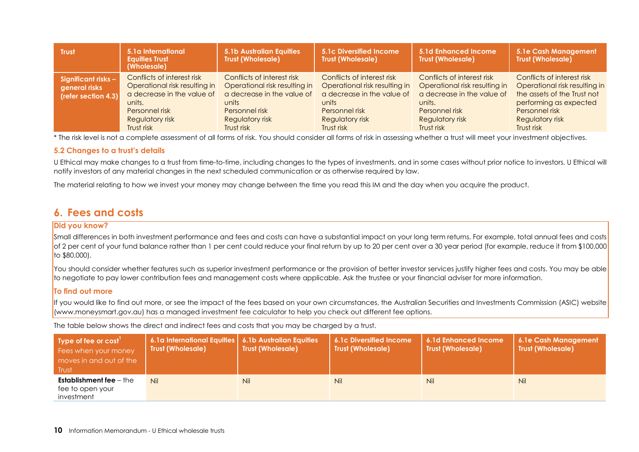| <b>Trust</b>                                                | 5.1a International<br><b>Equities Trust</b><br>(Wholesale)                                                                                             | <b>5.1b Australian Equities</b><br><b>Trust (Wholesale)</b>                                                                                                  | 5.1c Diversified Income<br><b>Trust (Wholesale)</b>                                                                                                          | 5.1d Enhanced Income<br><b>Trust (Wholesale)</b>                                                                                                       | 5.1e Cash Management<br><b>Trust (Wholesale)</b>                                                                                                                        |
|-------------------------------------------------------------|--------------------------------------------------------------------------------------------------------------------------------------------------------|--------------------------------------------------------------------------------------------------------------------------------------------------------------|--------------------------------------------------------------------------------------------------------------------------------------------------------------|--------------------------------------------------------------------------------------------------------------------------------------------------------|-------------------------------------------------------------------------------------------------------------------------------------------------------------------------|
| Significant risks -<br>general risks<br>(refer section 4.3) | Conflicts of interest risk<br>Operational risk resulting in<br>a decrease in the value of<br>units.<br>Personnel risk<br>Regulatory risk<br>Trust risk | Conflicts of interest risk<br>Operational risk resulting in<br>a decrease in the value of<br>units<br>Personnel risk<br><b>Regulatory risk</b><br>Trust risk | Conflicts of interest risk<br>Operational risk resulting in<br>a decrease in the value of<br>units<br>Personnel risk<br><b>Regulatory risk</b><br>Trust risk | Conflicts of interest risk<br>Operational risk resulting in<br>a decrease in the value of<br>units.<br>Personnel risk<br>Regulatory risk<br>Trust risk | Conflicts of interest risk<br>Operational risk resulting in<br>the assets of the Trust not<br>performing as expected<br>Personnel risk<br>Regulatory risk<br>Trust risk |

\* The risk level is not a complete assessment of all forms of risk. You should consider all forms of risk in assessing whether a trust will meet your investment objectives.

#### **5.2 Changes to a trust's details**

U Ethical may make changes to a trust from time-to-time, including changes to the types of investments, and in some cases without prior notice to investors. U Ethical will notify investors of any material changes in the next scheduled communication or as otherwise required by law.

The material relating to how we invest your money may change between the time you read this IM and the day when you acquire the product.

# **6. Fees and costs**

#### **Did you know?**

Small differences in both investment performance and fees and costs can have a substantial impact on your long term returns. For example, total annual fees and costs of 2 per cent of your fund balance rather than 1 per cent could reduce your final return by up to 20 per cent over a 30 year period (for example, reduce it from \$100,000 to \$80,000).

You should consider whether features such as superior investment performance or the provision of better investor services justify higher fees and costs. You may be able to negotiate to pay lower contribution fees and management costs where applicable. Ask the trustee or your financial adviser for more information.

## **To find out more**

If you would like to find out more, or see the impact of the fees based on your own circumstances, the Australian Securities and Investments Commission (ASIC) website (www.moneysmart.gov.au) has a managed investment fee calculator to help you check out different fee options.

The table below shows the direct and indirect fees and costs that you may be charged by a trust.

<span id="page-9-0"></span>

| Type of fee or cost<br>Fees when your money<br>moves in and out of the<br>Trust | 6.1a International Equities   6.1b Australian Equities<br>Trust (Wholesale) | <b>Trust (Wholesale)</b> | 6.1c Diversified Income<br><b>Trust (Wholesale)</b> | 6.1d Enhanced Income<br><b>Trust (Wholesale)</b> | 6.1e Cash Management<br><b>Trust (Wholesale)</b> |
|---------------------------------------------------------------------------------|-----------------------------------------------------------------------------|--------------------------|-----------------------------------------------------|--------------------------------------------------|--------------------------------------------------|
| <b>Establishment fee - the</b><br>fee to open your<br>investment                | Nil                                                                         | <b>Nil</b>               | <b>Nil</b>                                          | Nil                                              | <b>Nil</b>                                       |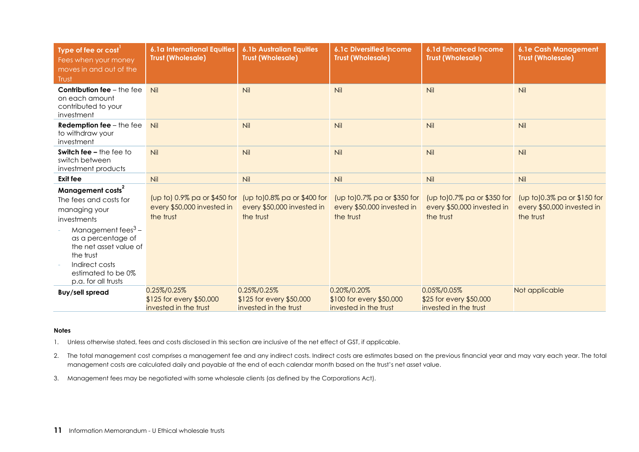| Type of fee or cost<br>Fees when your money<br>moves in and out of the<br>Trust                                                                                                                 | <b>6.1a International Equities</b><br><b>Trust (Wholesale)</b>          | <b>6.1b Australian Equities</b><br><b>Trust (Wholesale)</b>            | <b>6.1c Diversified Income</b><br><b>Trust (Wholesale)</b>             | <b>6.1d Enhanced Income</b><br><b>Trust (Wholesale)</b>                | <b>6.1e Cash Management</b><br><b>Trust (Wholesale)</b>                |
|-------------------------------------------------------------------------------------------------------------------------------------------------------------------------------------------------|-------------------------------------------------------------------------|------------------------------------------------------------------------|------------------------------------------------------------------------|------------------------------------------------------------------------|------------------------------------------------------------------------|
| <b>Contribution fee - the fee</b><br>on each amount<br>contributed to your<br>investment                                                                                                        | Nil                                                                     | Nil                                                                    | Nil                                                                    | Nil                                                                    | Nil                                                                    |
| Redemption fee $-$ the fee<br>to withdraw your<br>investment                                                                                                                                    | Nil                                                                     | Nil                                                                    | Nil                                                                    | Nil                                                                    | Nil                                                                    |
| <b>Switch fee - the fee to</b><br>switch between<br>investment products                                                                                                                         | Nil                                                                     | Nil                                                                    | Nil                                                                    | Nil                                                                    | Nil                                                                    |
| <b>Exit fee</b>                                                                                                                                                                                 | Nil                                                                     | Nil                                                                    | Nil                                                                    | Nil                                                                    | Nil                                                                    |
| Management costs <sup>2</sup><br>The fees and costs for<br>managing your<br>investments<br>Management fees $3 -$<br>as a percentage of<br>the net asset value of<br>the trust<br>Indirect costs | (up to) 0.9% pa or \$450 for<br>every \$50,000 invested in<br>the trust | (up to)0.8% pa or \$400 for<br>every \$50,000 invested in<br>the trust | (up to)0.7% pa or \$350 for<br>every \$50,000 invested in<br>the trust | (up to)0.7% pa or \$350 for<br>every \$50,000 invested in<br>the trust | (up to)0.3% pa or \$150 for<br>every \$50,000 invested in<br>the trust |
| estimated to be 0%<br>p.a. for all trusts                                                                                                                                                       |                                                                         |                                                                        |                                                                        |                                                                        |                                                                        |
| <b>Buy/sell spread</b>                                                                                                                                                                          | 0.25%/0.25%<br>\$125 for every \$50,000<br>invested in the trust        | 0.25%/0.25%<br>\$125 for every \$50,000<br>invested in the trust       | 0.20%/0.20%<br>\$100 for every \$50,000<br>invested in the trust       | 0.05%/0.05%<br>\$25 for every \$50,000<br>invested in the trust        | Not applicable                                                         |

#### **Notes**

1. Unless otherwise stated, fees and costs disclosed in this section are inclusive of the net effect of GST, if applicable.

- 2. The total management cost comprises a management fee and any indirect costs. Indirect costs are estimates based on the previous financial year and may vary each year. The total management costs are calculated daily and payable at the end of each calendar month based on the trust's net asset value.
- 3. Management fees may be negotiated with some wholesale clients (as defined by the Corporations Act).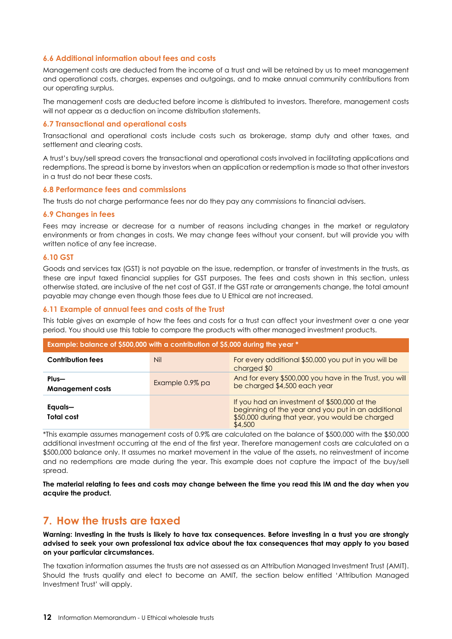## **6.6 Additional information about fees and costs**

Management costs are deducted from the income of a trust and will be retained by us to meet management and operational costs, charges, expenses and outgoings, and to make annual community contributions from our operating surplus.

The management costs are deducted before income is distributed to investors. Therefore, management costs will not appear as a deduction on income distribution statements.

#### **6.7 Transactional and operational costs**

Transactional and operational costs include costs such as brokerage, stamp duty and other taxes, and settlement and clearing costs.

A trust's buy/sell spread covers the transactional and operational costs involved in facilitating applications and redemptions. The spread is borne by investors when an application or redemption is made so that other investors in a trust do not bear these costs.

#### **6.8 Performance fees and commissions**

The trusts do not charge performance fees nor do they pay any commissions to financial advisers.

### **6.9 Changes in fees**

Fees may increase or decrease for a number of reasons including changes in the market or regulatory environments or from changes in costs. We may change fees without your consent, but will provide you with written notice of any fee increase.

### **6.10 GST**

Goods and services tax (GST) is not payable on the issue, redemption, or transfer of investments in the trusts, as these are input taxed financial supplies for GST purposes. The fees and costs shown in this section, unless otherwise stated, are inclusive of the net cost of GST. If the GST rate or arrangements change, the total amount payable may change even though those fees due to U Ethical are not increased.

### **6.11 Example of annual fees and costs of the Trust**

This table gives an example of how the fees and costs for a trust can affect your investment over a one year period. You should use this table to compare the products with other managed investment products.

| Example: balance of \$500,000 with a contribution of \$5,000 during the year * |                 |                                                                                                                                                                  |  |  |
|--------------------------------------------------------------------------------|-----------------|------------------------------------------------------------------------------------------------------------------------------------------------------------------|--|--|
| <b>Contribution fees</b>                                                       | Nil             | For every additional \$50,000 you put in you will be<br>charged \$0                                                                                              |  |  |
| Plus-<br><b>Management costs</b>                                               | Example 0.9% pa | And for every \$500,000 you have in the Trust, you will<br>be charged \$4,500 each year                                                                          |  |  |
| Equals-<br>Total cost                                                          |                 | If you had an investment of \$500,000 at the<br>beginning of the year and you put in an additional<br>\$50,000 during that year, you would be charged<br>\$4,500 |  |  |

\*This example assumes management costs of 0.9% are calculated on the balance of \$500,000 with the \$50,000 additional investment occurring at the end of the first year. Therefore management costs are calculated on a \$500,000 balance only. It assumes no market movement in the value of the assets, no reinvestment of income and no redemptions are made during the year. This example does not capture the impact of the buy/sell spread.

**The material relating to fees and costs may change between the time you read this IM and the day when you acquire the product.** 

# <span id="page-11-0"></span>**7. How the trusts are taxed**

**Warning: Investing in the trusts is likely to have tax consequences. Before investing in a trust you are strongly advised to seek your own professional tax advice about the tax consequences that may apply to you based on your particular circumstances.** 

The taxation information assumes the trusts are not assessed as an Attribution Managed Investment Trust (AMIT). Should the trusts qualify and elect to become an AMIT, the section below entitled 'Attribution Managed Investment Trust' will apply.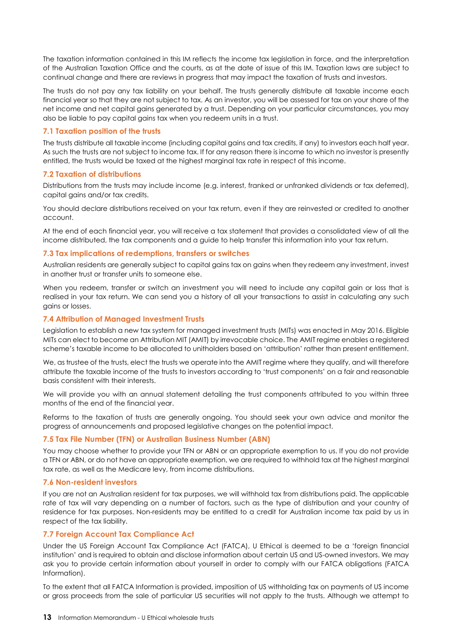The taxation information contained in this IM reflects the income tax legislation in force, and the interpretation of the Australian Taxation Office and the courts, as at the date of issue of this IM. Taxation laws are subject to continual change and there are reviews in progress that may impact the taxation of trusts and investors.

The trusts do not pay any tax liability on your behalf. The trusts generally distribute all taxable income each financial year so that they are not subject to tax. As an investor, you will be assessed for tax on your share of the net income and net capital gains generated by a trust. Depending on your particular circumstances, you may also be liable to pay capital gains tax when you redeem units in a trust.

### **7.1 Taxation position of the trusts**

The trusts distribute all taxable income (including capital gains and tax credits, if any) to investors each half year. As such the trusts are not subject to income tax. If for any reason there is income to which no investor is presently entitled, the trusts would be taxed at the highest marginal tax rate in respect of this income.

### **7.2 Taxation of distributions**

Distributions from the trusts may include income (e.g. interest, franked or unfranked dividends or tax deferred), capital gains and/or tax credits.

You should declare distributions received on your tax return, even if they are reinvested or credited to another account.

At the end of each financial year, you will receive a tax statement that provides a consolidated view of all the income distributed, the tax components and a guide to help transfer this information into your tax return.

### **7.3 Tax implications of redemptions, transfers or switches**

Australian residents are generally subject to capital gains tax on gains when they redeem any investment, invest in another trust or transfer units to someone else.

When you redeem, transfer or switch an investment you will need to include any capital gain or loss that is realised in your tax return. We can send you a history of all your transactions to assist in calculating any such gains or losses.

## **7.4 Attribution of Managed Investment Trusts**

Legislation to establish a new tax system for managed investment trusts (MITs) was enacted in May 2016. Eligible MITs can elect to become an Attribution MIT (AMIT) by irrevocable choice. The AMIT regime enables a registered scheme's taxable income to be allocated to unitholders based on 'attribution' rather than present entitlement.

We, as trustee of the trusts, elect the trusts we operate into the AMIT regime where they qualify, and will therefore attribute the taxable income of the trusts to investors according to 'trust components' on a fair and reasonable basis consistent with their interests.

We will provide you with an annual statement detailing the trust components attributed to you within three months of the end of the financial year.

Reforms to the taxation of trusts are generally ongoing. You should seek your own advice and monitor the progress of announcements and proposed legislative changes on the potential impact.

# **7.5 Tax File Number (TFN) or Australian Business Number (ABN)**

You may choose whether to provide your TFN or ABN or an appropriate exemption to us. If you do not provide a TFN or ABN, or do not have an appropriate exemption, we are required to withhold tax at the highest marginal tax rate, as well as the Medicare levy, from income distributions.

#### **7.6 Non-resident investors**

If you are not an Australian resident for tax purposes, we will withhold tax from distributions paid. The applicable rate of tax will vary depending on a number of factors, such as the type of distribution and your country of residence for tax purposes. Non-residents may be entitled to a credit for Australian income tax paid by us in respect of the tax liability.

# **7.7 Foreign Account Tax Compliance Act**

Under the US Foreign Account Tax Compliance Act (FATCA), U Ethical is deemed to be a 'foreign financial institution' and is required to obtain and disclose information about certain US and US-owned investors. We may ask you to provide certain information about yourself in order to comply with our FATCA obligations (FATCA Information).

To the extent that all FATCA Information is provided, imposition of US withholding tax on payments of US income or gross proceeds from the sale of particular US securities will not apply to the trusts. Although we attempt to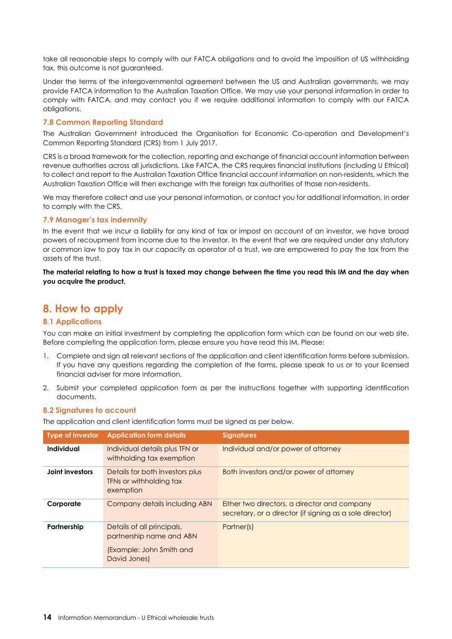take all reasonable steps to comply with our FATCA obligations and to avoid the imposition of US withholding tax, this outcome is not guaranteed.

Under the terms of the intergovernmental agreement between the US and Australian governments, we may provide FATCA information to the Australian Taxation Office. We may use your personal information in order to comply with FATCA, and may contact you if we require additional information to comply with our FATCA obligations.

# **7.8 Common Reporting Standard**

The Australian Government introduced the Organisation for Economic Co-operation and Development's Common Reporting Standard (CRS) from 1 July 2017.

CRS is a broad framework for the collection, reporting and exchange of financial account information between revenue authorities across all jurisdictions. Like FATCA, the CRS requires financial institutions (including U Ethical) to collect and report to the Australian Taxation Office financial account information on non-residents, which the Australian Taxation Office will then exchange with the foreign tax authorities of those non-residents.

We may therefore collect and use your personal information, or contact you for additional information, in order to comply with the CRS.

### **7.9 Manager's tax indemnity**

In the event that we incur a liability for any kind of tax or impost on account of an investor, we have broad powers of recoupment from income due to the investor. In the event that we are required under any statutory or common law to pay tax in our capacity as operator of a trust, we are empowered to pay the tax from the assets of the trust.

**The material relating to how a trust is taxed may change between the time you read this IM and the day when you acquire the product.** 

# <span id="page-13-0"></span>**8. How to apply**

# **8.1 Applications**

You can make an initial investment by completing the application form which can be found on our web site. Before completing the application form, please ensure you have read this IM. Please:

- 1. Complete and sign all relevant sections of the application and client identification forms before submission. If you have any questions regarding the completion of the forms, please speak to us or to your licensed financial adviser for more information.
- 2. Submit your completed application form as per the instructions together with supporting identification documents.

#### **8.2 Signatures to account**

The application and client identification forms must be signed as per below.

| Type of investor | <b>Application form details</b>                                                                    | <b>Signatures</b>                                                                                        |
|------------------|----------------------------------------------------------------------------------------------------|----------------------------------------------------------------------------------------------------------|
| Individual       | Individual details plus TFN or<br>withholding tax exemption                                        | Individual and/or power of attorney                                                                      |
| Joint investors  | Details for both investors plus<br>TFNs or withholding tax<br>exemption                            | Both investors and/or power of attorney                                                                  |
| Corporate        | Company details including ABN                                                                      | Either two directors, a director and company<br>secretary, or a director (if signing as a sole director) |
| Partnership      | Details of all principals,<br>partnership name and ABN<br>(Example: John Smith and<br>David Jones) | Partner(s)                                                                                               |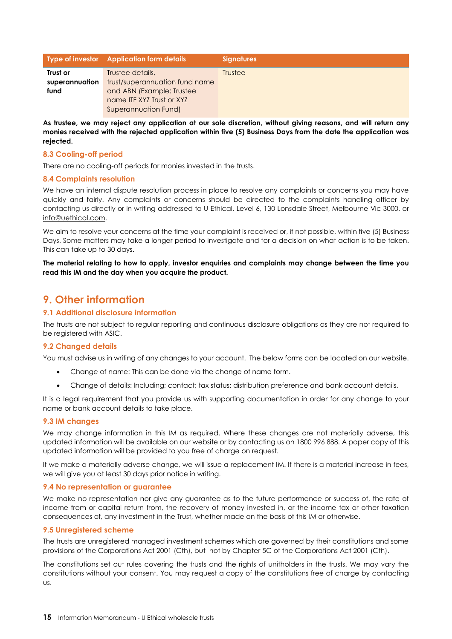|                | Type of investor Application form details | <b>Signatures</b> |
|----------------|-------------------------------------------|-------------------|
| Trust or       | Trustee details,                          | <b>Trustee</b>    |
| superannuation | trust/superannuation fund name            |                   |
| fund           | and ABN (Example: Trustee                 |                   |
|                | name ITF XYZ Trust or XYZ                 |                   |
|                | Superannuation Fund)                      |                   |

**As trustee, we may reject any application at our sole discretion, without giving reasons, and will return any monies received with the rejected application within five (5) Business Days from the date the application was rejected.** 

### **8.3 Cooling-off period**

There are no cooling-off periods for monies invested in the trusts.

### **8.4 Complaints resolution**

We have an internal dispute resolution process in place to resolve any complaints or concerns you may have quickly and fairly. Any complaints or concerns should be directed to the complaints handling officer by contacting us directly or in writing addressed to U Ethical, Level 6, 130 Lonsdale Street, Melbourne Vic 3000, or [info@uethical.com.](mailto:info@uethical.com)

We aim to resolve your concerns at the time your complaint is received or, if not possible, within five (5) Business Days. Some matters may take a longer period to investigate and for a decision on what action is to be taken. This can take up to 30 days.

**The material relating to how to apply, investor enquiries and complaints may change between the time you read this IM and the day when you acquire the product.** 

# <span id="page-14-0"></span>**9. Other information**

### **9.1 Additional disclosure information**

The trusts are not subject to regular reporting and continuous disclosure obligations as they are not required to be registered with ASIC.

#### **9.2 Changed details**

You must advise us in writing of any changes to your account. The below forms can be located on our website.

- Change of name: This can be done via the change of name form.
- Change of details: Including; contact; tax status; distribution preference and bank account details.

It is a legal requirement that you provide us with supporting documentation in order for any change to your name or bank account details to take place.

#### **9.3 IM changes**

We may change information in this IM as required. Where these changes are not materially adverse, this updated information will be available on our website or by contacting us on 1800 996 888. A paper copy of this updated information will be provided to you free of charge on request.

If we make a materially adverse change, we will issue a replacement IM. If there is a material increase in fees, we will give you at least 30 days prior notice in writing.

#### **9.4 No representation or guarantee**

We make no representation nor give any guarantee as to the future performance or success of, the rate of income from or capital return from, the recovery of money invested in, or the income tax or other taxation consequences of, any investment in the Trust, whether made on the basis of this IM or otherwise.

#### **9.5 Unregistered scheme**

The trusts are unregistered managed investment schemes which are governed by their constitutions and some provisions of the Corporations Act 2001 (Cth), but not by Chapter 5C of the Corporations Act 2001 (Cth).

The constitutions set out rules covering the trusts and the rights of unitholders in the trusts. We may vary the constitutions without your consent. You may request a copy of the constitutions free of charge by contacting us.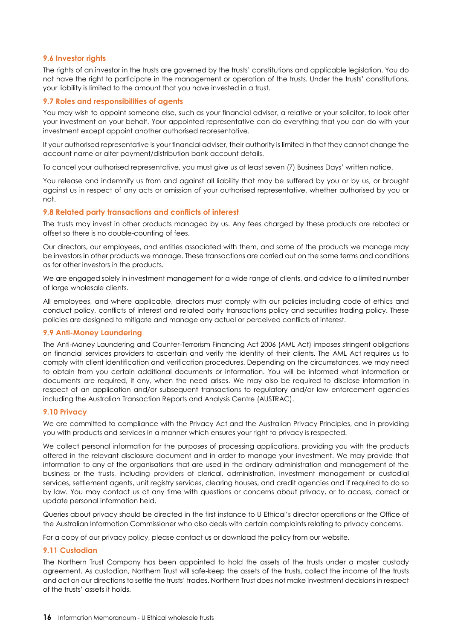## **9.6 Investor rights**

The rights of an investor in the trusts are governed by the trusts' constitutions and applicable legislation. You do not have the right to participate in the management or operation of the trusts. Under the trusts' constitutions, your liability is limited to the amount that you have invested in a trust.

### **9.7 Roles and responsibilities of agents**

You may wish to appoint someone else, such as your financial adviser, a relative or your solicitor, to look after your investment on your behalf. Your appointed representative can do everything that you can do with your investment except appoint another authorised representative.

If your authorised representative is your financial adviser, their authority is limited in that they cannot change the account name or alter payment/distribution bank account details.

To cancel your authorised representative, you must give us at least seven (7) Business Days' written notice.

You release and indemnify us from and against all liability that may be suffered by you or by us, or brought against us in respect of any acts or omission of your authorised representative, whether authorised by you or not.

### **9.8 Related party transactions and conflicts of interest**

The trusts may invest in other products managed by us. Any fees charged by these products are rebated or offset so there is no double-counting of fees.

Our directors, our employees, and entities associated with them, and some of the products we manage may be investors in other products we manage. These transactions are carried out on the same terms and conditions as for other investors in the products.

We are engaged solely in investment management for a wide range of clients, and advice to a limited number of large wholesale clients.

All employees, and where applicable, directors must comply with our policies including code of ethics and conduct policy, conflicts of interest and related party transactions policy and securities trading policy. These policies are designed to mitigate and manage any actual or perceived conflicts of interest.

# **9.9 Anti-Money Laundering**

The Anti-Money Laundering and Counter-Terrorism Financing Act 2006 (AML Act) imposes stringent obligations on financial services providers to ascertain and verify the identity of their clients. The AML Act requires us to comply with client identification and verification procedures. Depending on the circumstances, we may need to obtain from you certain additional documents or information. You will be informed what information or documents are required, if any, when the need arises. We may also be required to disclose information in respect of an application and/or subsequent transactions to regulatory and/or law enforcement agencies including the Australian Transaction Reports and Analysis Centre (AUSTRAC).

#### **9.10 Privacy**

We are committed to compliance with the Privacy Act and the Australian Privacy Principles, and in providing you with products and services in a manner which ensures your right to privacy is respected.

We collect personal information for the purposes of processing applications, providing you with the products offered in the relevant disclosure document and in order to manage your investment. We may provide that information to any of the organisations that are used in the ordinary administration and management of the business or the trusts, including providers of clerical, administration, investment management or custodial services, settlement agents, unit registry services, clearing houses, and credit agencies and if required to do so by law. You may contact us at any time with questions or concerns about privacy, or to access, correct or update personal information held.

Queries about privacy should be directed in the first instance to U Ethical's director operations or the Office of the Australian Information Commissioner who also deals with certain complaints relating to privacy concerns.

For a copy of our privacy policy, please contact us or download the policy from our website.

#### **9.11 Custodian**

The Northern Trust Company has been appointed to hold the assets of the trusts under a master custody agreement. As custodian, Northern Trust will safe-keep the assets of the trusts, collect the income of the trusts and act on our directions to settle the trusts' trades. Northern Trust does not make investment decisions in respect of the trusts' assets it holds.